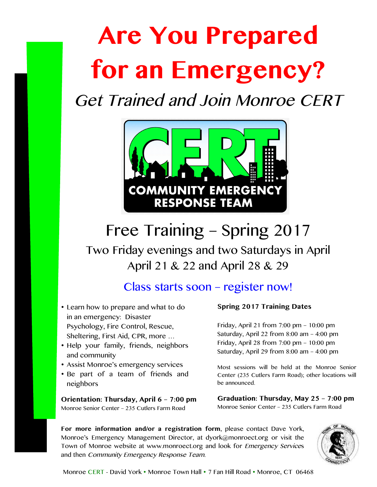# **Are You Prepared for an Emergency?**

Get Trained and Join Monroe CERT



# Free Training – Spring 2017

Two Friday evenings and two Saturdays in April April 21 & 22 and April 28 & 29

### Class starts soon – register now!

- Learn how to prepare and what to do in an emergency: Disaster Psychology, Fire Control, Rescue, Sheltering, First Aid, CPR, more …
- Help your family, friends, neighbors and community
- Assist Monroe's emergency services
- Be part of a team of friends and neighbors

**Orientation: Thursday, April 6 – 7:00 pm** Monroe Senior Center – 235 Cutlers Farm Road

#### **Spring 2017 Training Dates**

Friday, April 21 from 7:00 pm – 10:00 pm Saturday, April 22 from 8:00 am – 4:00 pm Friday, April 28 from 7:00 pm – 10:00 pm Saturday, April 29 from 8:00 am – 4:00 pm

Most sessions will be held at the Monroe Senior Center (235 Cutlers Farm Road); other locations will be announced.

**Graduation: Thursday, May 25 – 7:00 pm** Monroe Senior Center – 235 Cutlers Farm Road

**For more information and/or a registration form**, please contact Dave York, Monroe's Emergency Management Director, at dyork@monroect.org or visit the Town of Monroe website at www.monroect.org and look for Emergency Services and then Community Emergency Response Team.